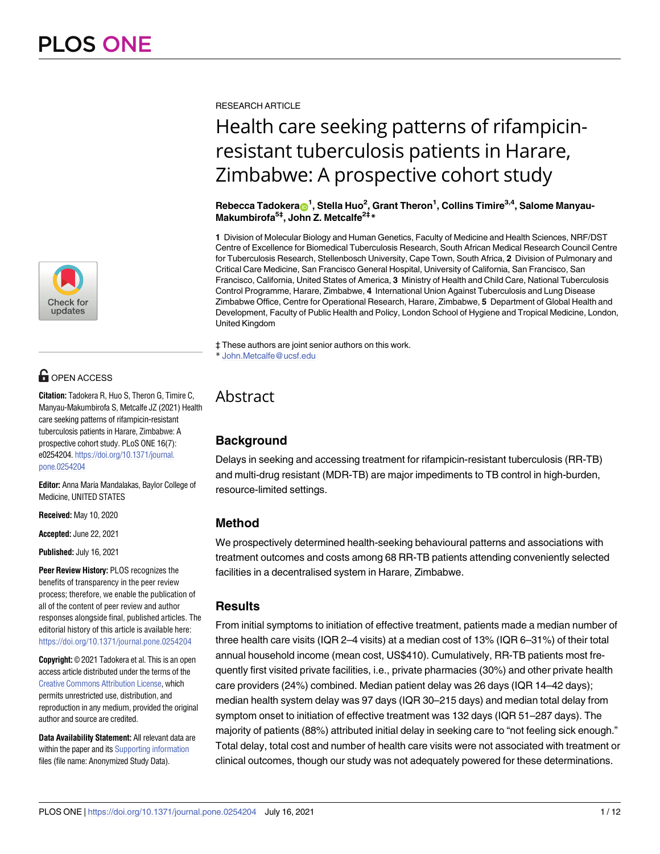

# **G** OPEN ACCESS

**Citation:** Tadokera R, Huo S, Theron G, Timire C, Manyau-Makumbirofa S, Metcalfe JZ (2021) Health care seeking patterns of rifampicin-resistant tuberculosis patients in Harare, Zimbabwe: A prospective cohort study. PLoS ONE 16(7): e0254204. [https://doi.org/10.1371/journal.](https://doi.org/10.1371/journal.pone.0254204) [pone.0254204](https://doi.org/10.1371/journal.pone.0254204)

**Editor:** Anna Maria Mandalakas, Baylor College of Medicine, UNITED STATES

**Received:** May 10, 2020

**Accepted:** June 22, 2021

**Published:** July 16, 2021

**Peer Review History:** PLOS recognizes the benefits of transparency in the peer review process; therefore, we enable the publication of all of the content of peer review and author responses alongside final, published articles. The editorial history of this article is available here: <https://doi.org/10.1371/journal.pone.0254204>

**Copyright:** © 2021 Tadokera et al. This is an open access article distributed under the terms of the Creative Commons [Attribution](http://creativecommons.org/licenses/by/4.0/) License, which permits unrestricted use, distribution, and reproduction in any medium, provided the original author and source are credited.

**Data Availability Statement:** All relevant data are within the paper and its Supporting [information](#page-9-0) files (file name: Anonymized Study Data).

RESEARCH ARTICLE

# Health care seeking patterns of rifampicinresistant tuberculosis patients in Harare, Zimbabwe: A prospective cohort study

 $\mathsf{Re}$ becca <code>Tadokera $_{\text{CD}}$ 1</code>, Stella Huo $^2$ , Grant Theron $^1$ , Collins Timire $^{3,4}$ , Salome Manyau-**Makumbirofa5‡, John Z. Metcalfe2‡\***

**1** Division of Molecular Biology and Human Genetics, Faculty of Medicine and Health Sciences, NRF/DST Centre of Excellence for Biomedical Tuberculosis Research, South African Medical Research Council Centre for Tuberculosis Research, Stellenbosch University, Cape Town, South Africa, **2** Division of Pulmonary and Critical Care Medicine, San Francisco General Hospital, University of California, San Francisco, San Francisco, California, United States of America, **3** Ministry of Health and Child Care, National Tuberculosis Control Programme, Harare, Zimbabwe, **4** International Union Against Tuberculosis and Lung Disease Zimbabwe Office, Centre for Operational Research, Harare, Zimbabwe, **5** Department of Global Health and Development, Faculty of Public Health and Policy, London School of Hygiene and Tropical Medicine, London, United Kingdom

‡ These authors are joint senior authors on this work. \* John.Metcalfe@ucsf.edu

# Abstract

# **Background**

Delays in seeking and accessing treatment for rifampicin-resistant tuberculosis (RR-TB) and multi-drug resistant (MDR-TB) are major impediments to TB control in high-burden, resource-limited settings.

## **Method**

We prospectively determined health-seeking behavioural patterns and associations with treatment outcomes and costs among 68 RR-TB patients attending conveniently selected facilities in a decentralised system in Harare, Zimbabwe.

## **Results**

From initial symptoms to initiation of effective treatment, patients made a median number of three health care visits (IQR 2–4 visits) at a median cost of 13% (IQR 6–31%) of their total annual household income (mean cost, US\$410). Cumulatively, RR-TB patients most frequently first visited private facilities, i.e., private pharmacies (30%) and other private health care providers (24%) combined. Median patient delay was 26 days (IQR 14–42 days); median health system delay was 97 days (IQR 30–215 days) and median total delay from symptom onset to initiation of effective treatment was 132 days (IQR 51–287 days). The majority of patients (88%) attributed initial delay in seeking care to "not feeling sick enough." Total delay, total cost and number of health care visits were not associated with treatment or clinical outcomes, though our study was not adequately powered for these determinations.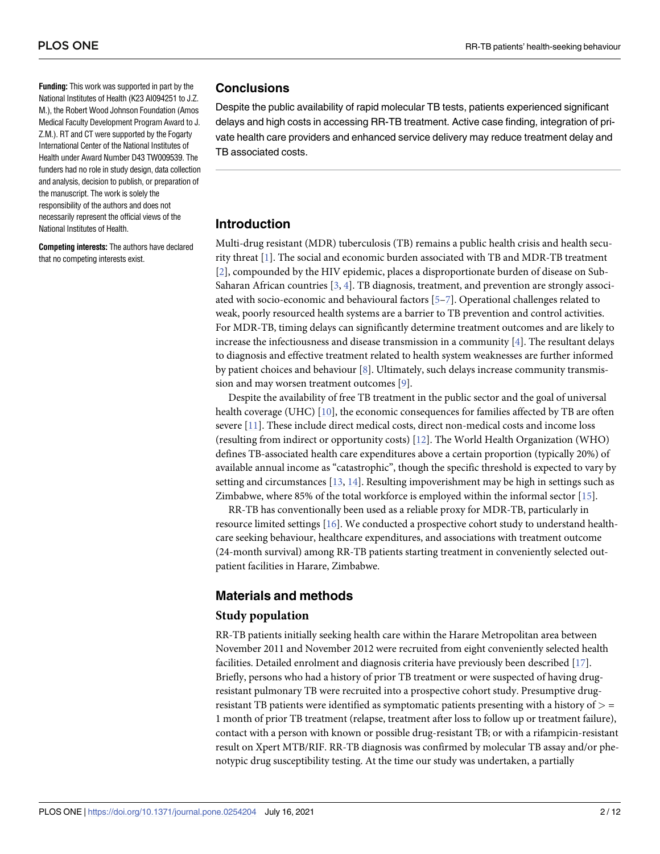<span id="page-1-0"></span>**Funding:** This work was supported in part by the National Institutes of Health (K23 AI094251 to J.Z. M.), the Robert Wood Johnson Foundation (Amos Medical Faculty Development Program Award to J. Z.M.). RT and CT were supported by the Fogarty International Center of the National Institutes of Health under Award Number D43 TW009539. The funders had no role in study design, data collection and analysis, decision to publish, or preparation of the manuscript. The work is solely the responsibility of the authors and does not necessarily represent the official views of the National Institutes of Health.

**Competing interests:** The authors have declared that no competing interests exist.

#### **Conclusions**

Despite the public availability of rapid molecular TB tests, patients experienced significant delays and high costs in accessing RR-TB treatment. Active case finding, integration of private health care providers and enhanced service delivery may reduce treatment delay and TB associated costs.

## **Introduction**

Multi-drug resistant (MDR) tuberculosis (TB) remains a public health crisis and health security threat [\[1\]](#page-9-0). The social and economic burden associated with TB and MDR-TB treatment [\[2](#page-9-0)], compounded by the HIV epidemic, places a disproportionate burden of disease on Sub-Saharan African countries  $[3, 4]$  $[3, 4]$  $[3, 4]$  $[3, 4]$ . TB diagnosis, treatment, and prevention are strongly associated with socio-economic and behavioural factors [\[5](#page-9-0)[–7](#page-10-0)]. Operational challenges related to weak, poorly resourced health systems are a barrier to TB prevention and control activities. For MDR-TB, timing delays can significantly determine treatment outcomes and are likely to increase the infectiousness and disease transmission in a community [\[4\]](#page-9-0). The resultant delays to diagnosis and effective treatment related to health system weaknesses are further informed by patient choices and behaviour [[8](#page-10-0)]. Ultimately, such delays increase community transmission and may worsen treatment outcomes [\[9](#page-10-0)].

Despite the availability of free TB treatment in the public sector and the goal of universal health coverage (UHC) [\[10\]](#page-10-0), the economic consequences for families affected by TB are often severe [\[11\]](#page-10-0). These include direct medical costs, direct non-medical costs and income loss (resulting from indirect or opportunity costs) [\[12\]](#page-10-0). The World Health Organization (WHO) defines TB-associated health care expenditures above a certain proportion (typically 20%) of available annual income as "catastrophic", though the specific threshold is expected to vary by setting and circumstances [[13](#page-10-0), [14](#page-10-0)]. Resulting impoverishment may be high in settings such as Zimbabwe, where 85% of the total workforce is employed within the informal sector [[15](#page-10-0)].

RR-TB has conventionally been used as a reliable proxy for MDR-TB, particularly in resource limited settings [[16](#page-10-0)]. We conducted a prospective cohort study to understand healthcare seeking behaviour, healthcare expenditures, and associations with treatment outcome (24-month survival) among RR-TB patients starting treatment in conveniently selected outpatient facilities in Harare, Zimbabwe.

# **Materials and methods**

#### **Study population**

RR-TB patients initially seeking health care within the Harare Metropolitan area between November 2011 and November 2012 were recruited from eight conveniently selected health facilities. Detailed enrolment and diagnosis criteria have previously been described [[17](#page-10-0)]. Briefly, persons who had a history of prior TB treatment or were suspected of having drugresistant pulmonary TB were recruited into a prospective cohort study. Presumptive drugresistant TB patients were identified as symptomatic patients presenting with a history of *>* = 1 month of prior TB treatment (relapse, treatment after loss to follow up or treatment failure), contact with a person with known or possible drug-resistant TB; or with a rifampicin-resistant result on Xpert MTB/RIF. RR-TB diagnosis was confirmed by molecular TB assay and/or phenotypic drug susceptibility testing. At the time our study was undertaken, a partially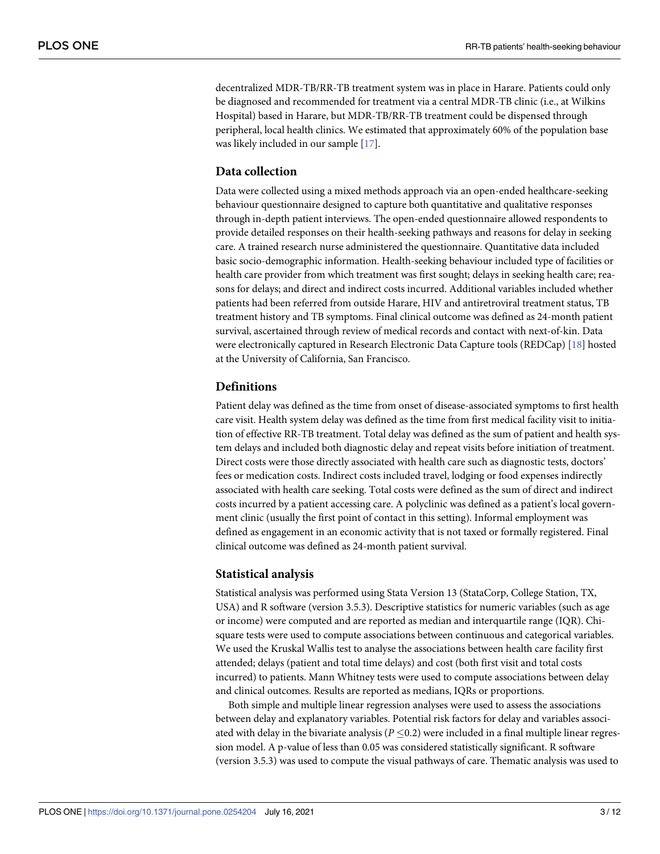<span id="page-2-0"></span>decentralized MDR-TB/RR-TB treatment system was in place in Harare. Patients could only be diagnosed and recommended for treatment via a central MDR-TB clinic (i.e., at Wilkins Hospital) based in Harare, but MDR-TB/RR-TB treatment could be dispensed through peripheral, local health clinics. We estimated that approximately 60% of the population base was likely included in our sample [[17](#page-10-0)].

#### **Data collection**

Data were collected using a mixed methods approach via an open-ended healthcare-seeking behaviour questionnaire designed to capture both quantitative and qualitative responses through in-depth patient interviews. The open-ended questionnaire allowed respondents to provide detailed responses on their health-seeking pathways and reasons for delay in seeking care. A trained research nurse administered the questionnaire. Quantitative data included basic socio-demographic information. Health-seeking behaviour included type of facilities or health care provider from which treatment was first sought; delays in seeking health care; reasons for delays; and direct and indirect costs incurred. Additional variables included whether patients had been referred from outside Harare, HIV and antiretroviral treatment status, TB treatment history and TB symptoms. Final clinical outcome was defined as 24-month patient survival, ascertained through review of medical records and contact with next-of-kin. Data were electronically captured in Research Electronic Data Capture tools (REDCap) [\[18\]](#page-10-0) hosted at the University of California, San Francisco.

#### **Definitions**

Patient delay was defined as the time from onset of disease-associated symptoms to first health care visit. Health system delay was defined as the time from first medical facility visit to initiation of effective RR-TB treatment. Total delay was defined as the sum of patient and health system delays and included both diagnostic delay and repeat visits before initiation of treatment. Direct costs were those directly associated with health care such as diagnostic tests, doctors' fees or medication costs. Indirect costs included travel, lodging or food expenses indirectly associated with health care seeking. Total costs were defined as the sum of direct and indirect costs incurred by a patient accessing care. A polyclinic was defined as a patient's local government clinic (usually the first point of contact in this setting). Informal employment was defined as engagement in an economic activity that is not taxed or formally registered. Final clinical outcome was defined as 24-month patient survival.

#### **Statistical analysis**

Statistical analysis was performed using Stata Version 13 (StataCorp, College Station, TX, USA) and R software (version 3.5.3). Descriptive statistics for numeric variables (such as age or income) were computed and are reported as median and interquartile range (IQR). Chisquare tests were used to compute associations between continuous and categorical variables. We used the Kruskal Wallis test to analyse the associations between health care facility first attended; delays (patient and total time delays) and cost (both first visit and total costs incurred) to patients. Mann Whitney tests were used to compute associations between delay and clinical outcomes. Results are reported as medians, IQRs or proportions.

Both simple and multiple linear regression analyses were used to assess the associations between delay and explanatory variables. Potential risk factors for delay and variables associated with delay in the bivariate analysis  $(P \le 0.2)$  were included in a final multiple linear regression model. A p-value of less than 0.05 was considered statistically significant. R software (version 3.5.3) was used to compute the visual pathways of care. Thematic analysis was used to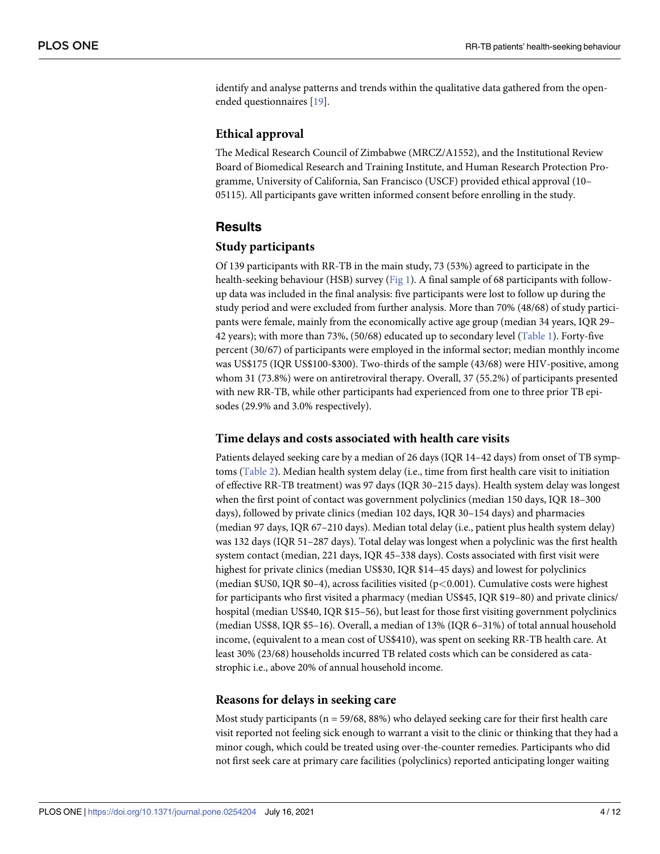<span id="page-3-0"></span>identify and analyse patterns and trends within the qualitative data gathered from the openended questionnaires [[19](#page-10-0)].

#### **Ethical approval**

The Medical Research Council of Zimbabwe (MRCZ/A1552), and the Institutional Review Board of Biomedical Research and Training Institute, and Human Research Protection Programme, University of California, San Francisco (USCF) provided ethical approval (10– 05115). All participants gave written informed consent before enrolling in the study.

#### **Results**

#### **Study participants**

Of 139 participants with RR-TB in the main study, 73 (53%) agreed to participate in the health-seeking behaviour (HSB) survey [\(Fig](#page-4-0) 1). A final sample of 68 participants with followup data was included in the final analysis: five participants were lost to follow up during the study period and were excluded from further analysis. More than 70% (48/68) of study participants were female, mainly from the economically active age group (median 34 years, IQR 29– 42 years); with more than 73%, (50/68) educated up to secondary level ([Table](#page-5-0) 1). Forty-five percent (30/67) of participants were employed in the informal sector; median monthly income was US\$175 (IQR US\$100-\$300). Two-thirds of the sample (43/68) were HIV-positive, among whom 31 (73.8%) were on antiretroviral therapy. Overall, 37 (55.2%) of participants presented with new RR-TB, while other participants had experienced from one to three prior TB episodes (29.9% and 3.0% respectively).

#### **Time delays and costs associated with health care visits**

Patients delayed seeking care by a median of 26 days (IQR 14–42 days) from onset of TB symptoms [\(Table](#page-6-0) 2). Median health system delay (i.e., time from first health care visit to initiation of effective RR-TB treatment) was 97 days (IQR 30–215 days). Health system delay was longest when the first point of contact was government polyclinics (median 150 days, IQR 18–300 days), followed by private clinics (median 102 days, IQR 30–154 days) and pharmacies (median 97 days, IQR 67–210 days). Median total delay (i.e., patient plus health system delay) was 132 days (IQR 51–287 days). Total delay was longest when a polyclinic was the first health system contact (median, 221 days, IQR 45–338 days). Costs associated with first visit were highest for private clinics (median US\$30, IQR \$14–45 days) and lowest for polyclinics (median \$US0, IQR \$0–4), across facilities visited (p*<*0.001). Cumulative costs were highest for participants who first visited a pharmacy (median US\$45, IQR \$19–80) and private clinics/ hospital (median US\$40, IQR \$15–56), but least for those first visiting government polyclinics (median US\$8, IQR \$5–16). Overall, a median of 13% (IQR 6–31%) of total annual household income, (equivalent to a mean cost of US\$410), was spent on seeking RR-TB health care. At least 30% (23/68) households incurred TB related costs which can be considered as catastrophic i.e., above 20% of annual household income.

#### **Reasons for delays in seeking care**

Most study participants ( $n = 59/68$ , 88%) who delayed seeking care for their first health care visit reported not feeling sick enough to warrant a visit to the clinic or thinking that they had a minor cough, which could be treated using over-the-counter remedies. Participants who did not first seek care at primary care facilities (polyclinics) reported anticipating longer waiting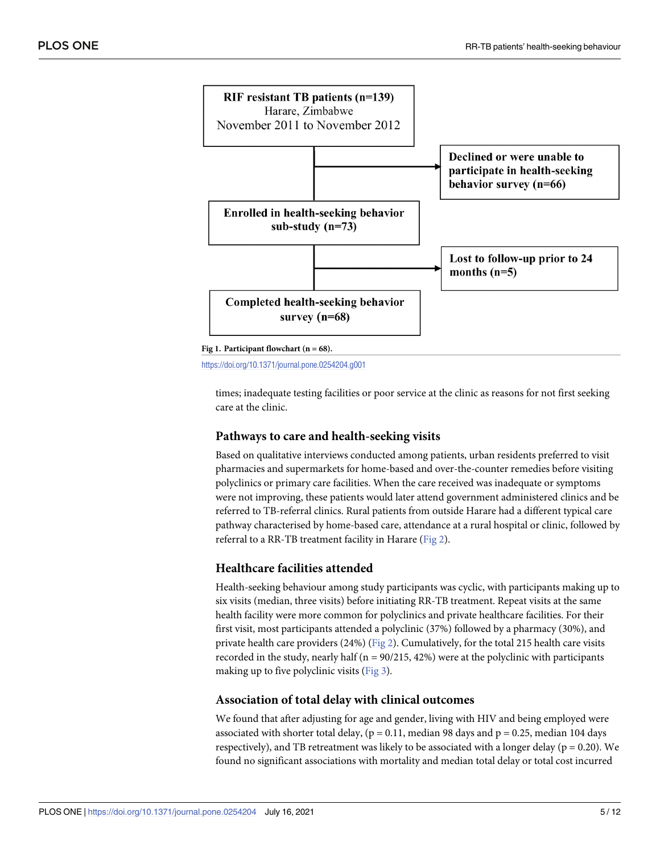<span id="page-4-0"></span>

**[Fig](#page-3-0) 1. Participant flowchart (n = 68).**

<https://doi.org/10.1371/journal.pone.0254204.g001>

times; inadequate testing facilities or poor service at the clinic as reasons for not first seeking care at the clinic.

#### **Pathways to care and health-seeking visits**

Based on qualitative interviews conducted among patients, urban residents preferred to visit pharmacies and supermarkets for home-based and over-the-counter remedies before visiting polyclinics or primary care facilities. When the care received was inadequate or symptoms were not improving, these patients would later attend government administered clinics and be referred to TB-referral clinics. Rural patients from outside Harare had a different typical care pathway characterised by home-based care, attendance at a rural hospital or clinic, followed by referral to a RR-TB treatment facility in Harare ([Fig](#page-6-0) 2).

#### **Healthcare facilities attended**

Health-seeking behaviour among study participants was cyclic, with participants making up to six visits (median, three visits) before initiating RR-TB treatment. Repeat visits at the same health facility were more common for polyclinics and private healthcare facilities. For their first visit, most participants attended a polyclinic (37%) followed by a pharmacy (30%), and private health care providers (24%) [\(Fig](#page-6-0) 2). Cumulatively, for the total 215 health care visits recorded in the study, nearly half ( $n = 90/215$ , 42%) were at the polyclinic with participants making up to five polyclinic visits ([Fig](#page-7-0) 3).

#### **Association of total delay with clinical outcomes**

We found that after adjusting for age and gender, living with HIV and being employed were associated with shorter total delay, ( $p = 0.11$ , median 98 days and  $p = 0.25$ , median 104 days respectively), and TB retreatment was likely to be associated with a longer delay ( $p = 0.20$ ). We found no significant associations with mortality and median total delay or total cost incurred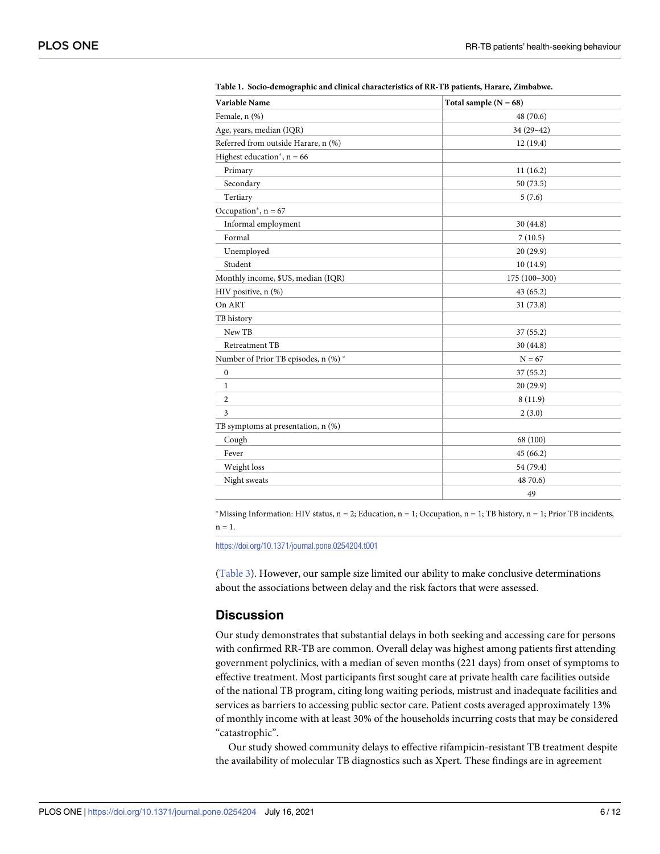| Variable Name                        | Total sample $(N = 68)$ |
|--------------------------------------|-------------------------|
| Female, n (%)                        | 48 (70.6)               |
| Age, years, median (IQR)             | $34(29-42)$             |
| Referred from outside Harare, n (%)  | 12(19.4)                |
| Highest education*, $n = 66$         |                         |
| Primary                              | 11(16.2)                |
| Secondary                            | 50 (73.5)               |
| Tertiary                             | 5(7.6)                  |
| Occupation*, $n = 67$                |                         |
| Informal employment                  | 30(44.8)                |
| Formal                               | 7(10.5)                 |
| Unemployed                           | 20(29.9)                |
| Student                              | 10(14.9)                |
| Monthly income, \$US, median (IQR)   | $175(100-300)$          |
| HIV positive, n (%)                  | 43(65.2)                |
| On ART                               | 31(73.8)                |
| TB history                           |                         |
| New TB                               | 37(55.2)                |
| Retreatment TB                       | 30(44.8)                |
| Number of Prior TB episodes, n (%) * | $N = 67$                |
| $\boldsymbol{0}$                     | 37(55.2)                |
| 1                                    | 20(29.9)                |
| 2                                    | 8(11.9)                 |
| 3                                    | 2(3.0)                  |
| TB symptoms at presentation, n (%)   |                         |
| Cough                                | 68 (100)                |
| Fever                                | 45(66.2)                |
| Weight loss                          | 54 (79.4)               |
| Night sweats                         | 48 70.6)                |
|                                      | 49                      |

<span id="page-5-0"></span>**[Table](#page-3-0) 1. Socio-demographic and clinical characteristics of RR-TB patients, Harare, Zimbabwe.**

\*Missing Information: HIV status,  $n = 2$ ; Education,  $n = 1$ ; Occupation,  $n = 1$ ; TB history,  $n = 1$ ; Prior TB incidents,  $n = 1$ .

<https://doi.org/10.1371/journal.pone.0254204.t001>

[\(Table](#page-7-0) 3). However, our sample size limited our ability to make conclusive determinations about the associations between delay and the risk factors that were assessed.

#### **Discussion**

Our study demonstrates that substantial delays in both seeking and accessing care for persons with confirmed RR-TB are common. Overall delay was highest among patients first attending government polyclinics, with a median of seven months (221 days) from onset of symptoms to effective treatment. Most participants first sought care at private health care facilities outside of the national TB program, citing long waiting periods, mistrust and inadequate facilities and services as barriers to accessing public sector care. Patient costs averaged approximately 13% of monthly income with at least 30% of the households incurring costs that may be considered "catastrophic".

Our study showed community delays to effective rifampicin-resistant TB treatment despite the availability of molecular TB diagnostics such as Xpert. These findings are in agreement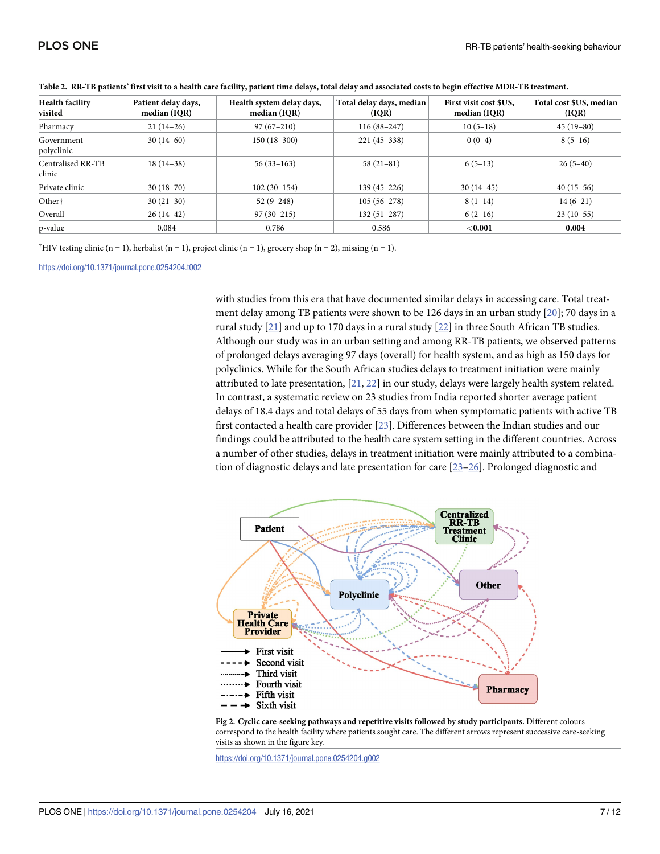| <b>Health facility</b><br>visited | Patient delay days,<br>median (IQR) | Health system delay days,<br>median (IQR) | Total delay days, median<br>( IQR) | First visit cost \$US.<br>median (IQR) | Total cost \$US, median<br>(IQR) |
|-----------------------------------|-------------------------------------|-------------------------------------------|------------------------------------|----------------------------------------|----------------------------------|
| Pharmacy                          | $21(14-26)$                         | $97(67-210)$                              | $116(88-247)$                      | $10(5-18)$                             | $45(19-80)$                      |
| Government<br>polyclinic          | $30(14-60)$                         | $150(18-300)$                             | $221(45-338)$                      | $0(0-4)$                               | $8(5-16)$                        |
| Centralised RR-TB<br>clinic       | $18(14-38)$                         | $56(33-163)$                              | $58(21-81)$                        | $6(5-13)$                              | $26(5-40)$                       |
| Private clinic                    | $30(18-70)$                         | $102(30-154)$                             | $139(45 - 226)$                    | $30(14-45)$                            | $40(15-56)$                      |
| Other†                            | $30(21-30)$                         | $52(9-248)$                               | $105(56-278)$                      | $8(1-14)$                              | $14(6-21)$                       |
| Overall                           | $26(14-42)$                         | $97(30-215)$                              | $132(51-287)$                      | $6(2-16)$                              | $23(10-55)$                      |
| p-value                           | 0.084                               | 0.786                                     | 0.586                              | $<$ 0.001                              | 0.004                            |

<span id="page-6-0"></span>

|  |  |  | Table 2. RR-TB patients' first visit to a health care facility, patient time delays, total delay and associated costs to begin effective MDR-TB treatment. |
|--|--|--|------------------------------------------------------------------------------------------------------------------------------------------------------------|
|  |  |  |                                                                                                                                                            |

<sup>†</sup>HIV testing clinic (n = 1), herbalist (n = 1), project clinic (n = 1), grocery shop (n = 2), missing (n = 1).

<https://doi.org/10.1371/journal.pone.0254204.t002>

with studies from this era that have documented similar delays in accessing care. Total treatment delay among TB patients were shown to be 126 days in an urban study [[20](#page-10-0)]; 70 days in a rural study [\[21\]](#page-10-0) and up to 170 days in a rural study [[22](#page-10-0)] in three South African TB studies. Although our study was in an urban setting and among RR-TB patients, we observed patterns of prolonged delays averaging 97 days (overall) for health system, and as high as 150 days for polyclinics. While for the South African studies delays to treatment initiation were mainly attributed to late presentation, [\[21,](#page-10-0) [22\]](#page-10-0) in our study, delays were largely health system related. In contrast, a systematic review on 23 studies from India reported shorter average patient delays of 18.4 days and total delays of 55 days from when symptomatic patients with active TB first contacted a health care provider [\[23\]](#page-10-0). Differences between the Indian studies and our findings could be attributed to the health care system setting in the different countries. Across a number of other studies, delays in treatment initiation were mainly attributed to a combination of diagnostic delays and late presentation for care [\[23–26](#page-10-0)]. Prolonged diagnostic and



**[Fig](#page-4-0) 2. Cyclic care-seeking pathways and repetitive visits followed by study participants.** Different colours correspond to the health facility where patients sought care. The different arrows represent successive care-seeking visits as shown in the figure key.

<https://doi.org/10.1371/journal.pone.0254204.g002>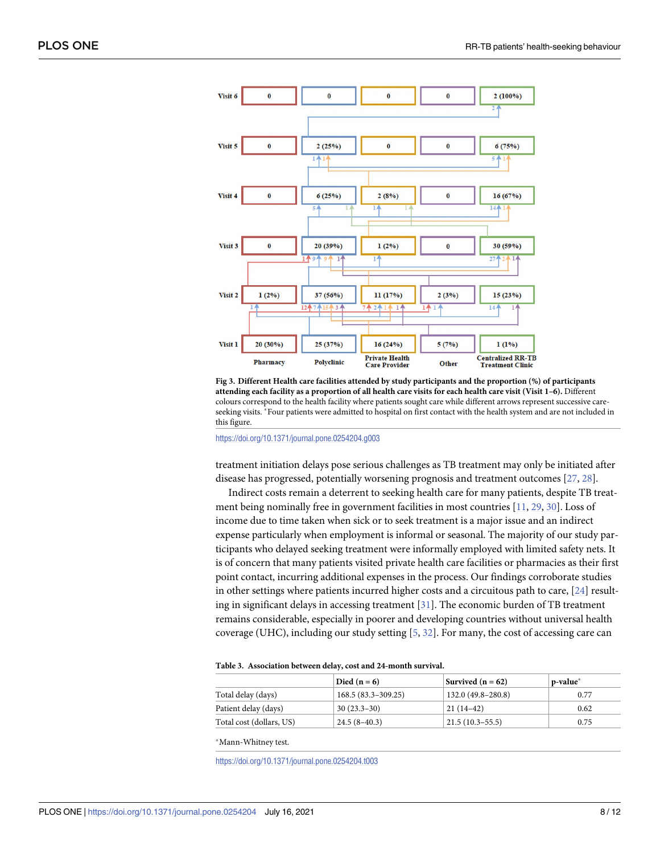<span id="page-7-0"></span>

**[Fig](#page-4-0) 3. Different Health care facilities attended by study participants and the proportion (%) of participants** attending each facility as a proportion of all health care visits for each health care visit (Visit 1-6). Different colours correspond to the health facility where patients sought care while different arrows represent successive careseeking visits. �Four patients were admitted to hospital on first contact with the health system and are not included in this figure.

<https://doi.org/10.1371/journal.pone.0254204.g003>

treatment initiation delays pose serious challenges as TB treatment may only be initiated after disease has progressed, potentially worsening prognosis and treatment outcomes [\[27,](#page-11-0) [28\]](#page-11-0).

Indirect costs remain a deterrent to seeking health care for many patients, despite TB treatment being nominally free in government facilities in most countries [\[11,](#page-10-0) [29](#page-11-0), [30](#page-11-0)]. Loss of income due to time taken when sick or to seek treatment is a major issue and an indirect expense particularly when employment is informal or seasonal. The majority of our study participants who delayed seeking treatment were informally employed with limited safety nets. It is of concern that many patients visited private health care facilities or pharmacies as their first point contact, incurring additional expenses in the process. Our findings corroborate studies in other settings where patients incurred higher costs and a circuitous path to care, [\[24\]](#page-10-0) resulting in significant delays in accessing treatment [\[31\]](#page-11-0). The economic burden of TB treatment remains considerable, especially in poorer and developing countries without universal health coverage (UHC), including our study setting [[5,](#page-9-0) [32\]](#page-11-0). For many, the cost of accessing care can

#### **[Table](#page-4-0) 3. Association between delay, cost and 24-month survival.**

|                          | Died $(n=6)$         | Survived $(n = 62)$ | p-value* |
|--------------------------|----------------------|---------------------|----------|
| Total delay (days)       | $168.5(83.3-309.25)$ | 132.0 (49.8–280.8)  | 0.77     |
| Patient delay (days)     | $30(23.3-30)$        | $21(14-42)$         | 0.62     |
| Total cost (dollars, US) | $24.5(8-40.3)$       | $21.5(10.3-55.5)$   | 0.75     |

�Mann-Whitney test.

<https://doi.org/10.1371/journal.pone.0254204.t003>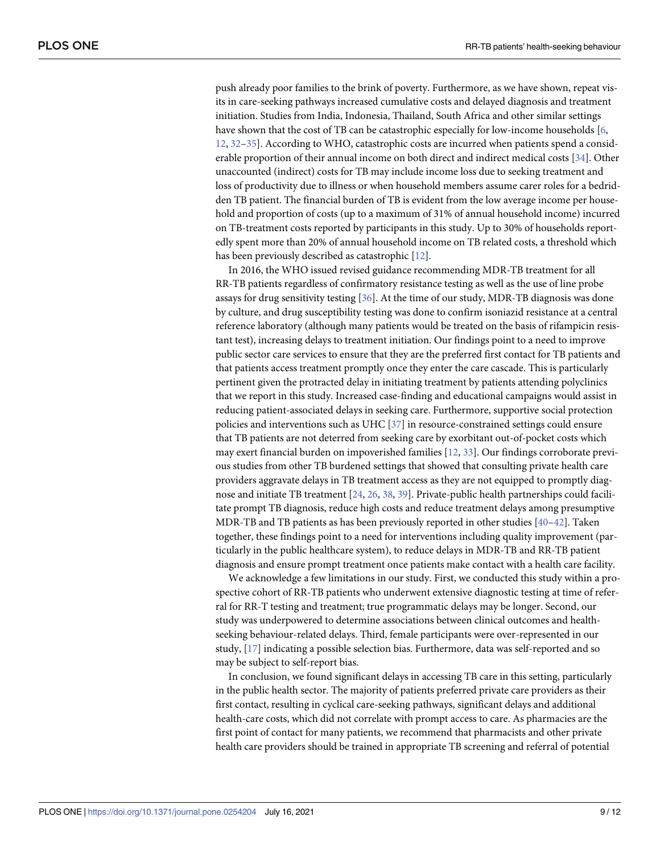<span id="page-8-0"></span>push already poor families to the brink of poverty. Furthermore, as we have shown, repeat visits in care-seeking pathways increased cumulative costs and delayed diagnosis and treatment initiation. Studies from India, Indonesia, Thailand, South Africa and other similar settings have shown that the cost of TB can be catastrophic especially for low-income households [\[6](#page-9-0), [12,](#page-10-0) [32](#page-11-0)–[35](#page-11-0)]. According to WHO, catastrophic costs are incurred when patients spend a considerable proportion of their annual income on both direct and indirect medical costs [[34](#page-11-0)]. Other unaccounted (indirect) costs for TB may include income loss due to seeking treatment and loss of productivity due to illness or when household members assume carer roles for a bedridden TB patient. The financial burden of TB is evident from the low average income per household and proportion of costs (up to a maximum of 31% of annual household income) incurred on TB-treatment costs reported by participants in this study. Up to 30% of households reportedly spent more than 20% of annual household income on TB related costs, a threshold which has been previously described as catastrophic [\[12\]](#page-10-0).

In 2016, the WHO issued revised guidance recommending MDR-TB treatment for all RR-TB patients regardless of confirmatory resistance testing as well as the use of line probe assays for drug sensitivity testing [[36](#page-11-0)]. At the time of our study, MDR-TB diagnosis was done by culture, and drug susceptibility testing was done to confirm isoniazid resistance at a central reference laboratory (although many patients would be treated on the basis of rifampicin resistant test), increasing delays to treatment initiation. Our findings point to a need to improve public sector care services to ensure that they are the preferred first contact for TB patients and that patients access treatment promptly once they enter the care cascade. This is particularly pertinent given the protracted delay in initiating treatment by patients attending polyclinics that we report in this study. Increased case-finding and educational campaigns would assist in reducing patient-associated delays in seeking care. Furthermore, supportive social protection policies and interventions such as UHC [\[37\]](#page-11-0) in resource-constrained settings could ensure that TB patients are not deterred from seeking care by exorbitant out-of-pocket costs which may exert financial burden on impoverished families [[12](#page-10-0), [33](#page-11-0)]. Our findings corroborate previous studies from other TB burdened settings that showed that consulting private health care providers aggravate delays in TB treatment access as they are not equipped to promptly diagnose and initiate TB treatment [\[24,](#page-10-0) [26](#page-10-0), [38](#page-11-0), [39](#page-11-0)]. Private-public health partnerships could facilitate prompt TB diagnosis, reduce high costs and reduce treatment delays among presumptive MDR-TB and TB patients as has been previously reported in other studies [\[40–42](#page-11-0)]. Taken together, these findings point to a need for interventions including quality improvement (particularly in the public healthcare system), to reduce delays in MDR-TB and RR-TB patient diagnosis and ensure prompt treatment once patients make contact with a health care facility.

We acknowledge a few limitations in our study. First, we conducted this study within a prospective cohort of RR-TB patients who underwent extensive diagnostic testing at time of referral for RR-T testing and treatment; true programmatic delays may be longer. Second, our study was underpowered to determine associations between clinical outcomes and healthseeking behaviour-related delays. Third, female participants were over-represented in our study, [[17](#page-10-0)] indicating a possible selection bias. Furthermore, data was self-reported and so may be subject to self-report bias.

In conclusion, we found significant delays in accessing TB care in this setting, particularly in the public health sector. The majority of patients preferred private care providers as their first contact, resulting in cyclical care-seeking pathways, significant delays and additional health-care costs, which did not correlate with prompt access to care. As pharmacies are the first point of contact for many patients, we recommend that pharmacists and other private health care providers should be trained in appropriate TB screening and referral of potential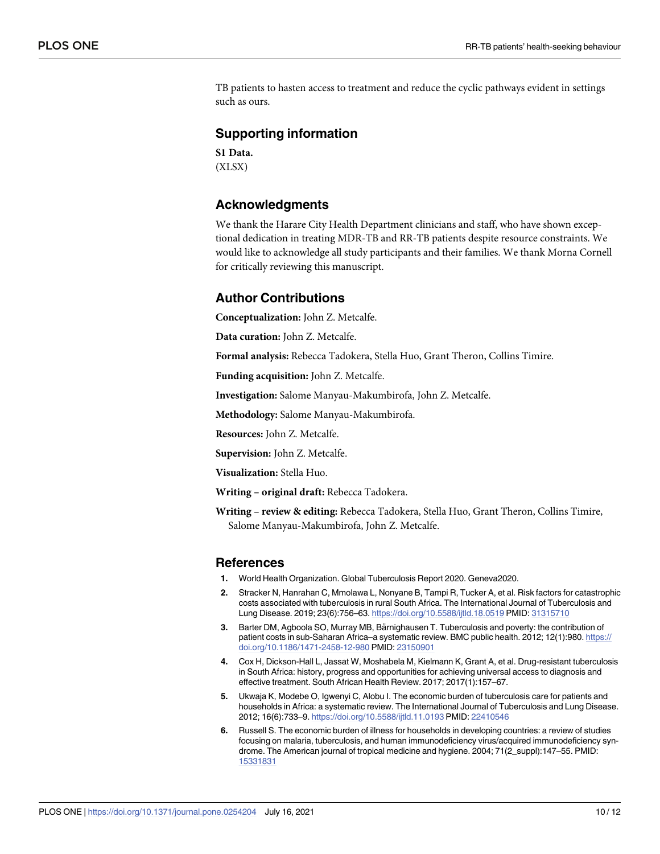<span id="page-9-0"></span>TB patients to hasten access to treatment and reduce the cyclic pathways evident in settings such as ours.

#### **Supporting information**

**S1 [Data](http://www.plosone.org/article/fetchSingleRepresentation.action?uri=info:doi/10.1371/journal.pone.0254204.s001).** (XLSX)

#### **Acknowledgments**

We thank the Harare City Health Department clinicians and staff, who have shown exceptional dedication in treating MDR-TB and RR-TB patients despite resource constraints. We would like to acknowledge all study participants and their families. We thank Morna Cornell for critically reviewing this manuscript.

#### **Author Contributions**

**Conceptualization:** John Z. Metcalfe.

**Data curation:** John Z. Metcalfe.

**Formal analysis:** Rebecca Tadokera, Stella Huo, Grant Theron, Collins Timire.

**Funding acquisition:** John Z. Metcalfe.

**Investigation:** Salome Manyau-Makumbirofa, John Z. Metcalfe.

**Methodology:** Salome Manyau-Makumbirofa.

**Resources:** John Z. Metcalfe.

**Supervision:** John Z. Metcalfe.

**Visualization:** Stella Huo.

**Writing – original draft:** Rebecca Tadokera.

**Writing – review & editing:** Rebecca Tadokera, Stella Huo, Grant Theron, Collins Timire, Salome Manyau-Makumbirofa, John Z. Metcalfe.

#### **References**

- **[1](#page-1-0).** World Health Organization. Global Tuberculosis Report 2020. Geneva2020.
- **[2](#page-1-0).** Stracker N, Hanrahan C, Mmolawa L, Nonyane B, Tampi R, Tucker A, et al. Risk factors for catastrophic costs associated with tuberculosis in rural South Africa. The International Journal of Tuberculosis and Lung Disease. 2019; 23(6):756–63. <https://doi.org/10.5588/ijtld.18.0519> PMID: [31315710](http://www.ncbi.nlm.nih.gov/pubmed/31315710)
- **[3](#page-1-0).** Barter DM, Agboola SO, Murray MB, Bärnighausen T. Tuberculosis and poverty: the contribution of patient costs in sub-Saharan Africa–a systematic review. BMC public health. 2012; 12(1):980. [https://](https://doi.org/10.1186/1471-2458-12-980) [doi.org/10.1186/1471-2458-12-980](https://doi.org/10.1186/1471-2458-12-980) PMID: [23150901](http://www.ncbi.nlm.nih.gov/pubmed/23150901)
- **[4](#page-1-0).** Cox H, Dickson-Hall L, Jassat W, Moshabela M, Kielmann K, Grant A, et al. Drug-resistant tuberculosis in South Africa: history, progress and opportunities for achieving universal access to diagnosis and effective treatment. South African Health Review. 2017; 2017(1):157–67.
- **[5](#page-1-0).** Ukwaja K, Modebe O, Igwenyi C, Alobu I. The economic burden of tuberculosis care for patients and households in Africa: a systematic review. The International Journal of Tuberculosis and Lung Disease. 2012; 16(6):733–9. <https://doi.org/10.5588/ijtld.11.0193> PMID: [22410546](http://www.ncbi.nlm.nih.gov/pubmed/22410546)
- **[6](#page-8-0).** Russell S. The economic burden of illness for households in developing countries: a review of studies focusing on malaria, tuberculosis, and human immunodeficiency virus/acquired immunodeficiency syndrome. The American journal of tropical medicine and hygiene. 2004; 71(2\_suppl):147–55. PMID: [15331831](http://www.ncbi.nlm.nih.gov/pubmed/15331831)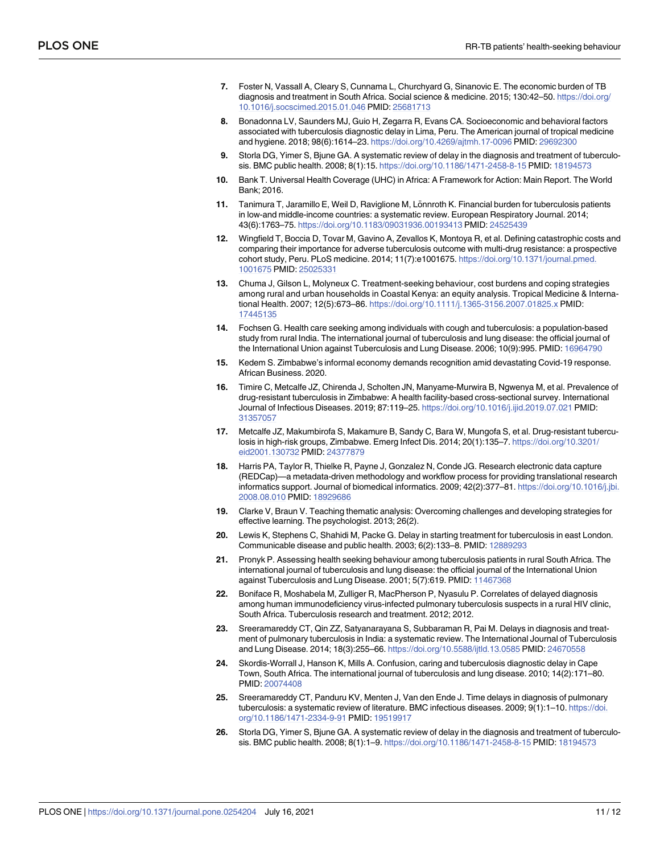- <span id="page-10-0"></span>**[7](#page-1-0).** Foster N, Vassall A, Cleary S, Cunnama L, Churchyard G, Sinanovic E. The economic burden of TB diagnosis and treatment in South Africa. Social science & medicine. 2015; 130:42–50. [https://doi.org/](https://doi.org/10.1016/j.socscimed.2015.01.046) [10.1016/j.socscimed.2015.01.046](https://doi.org/10.1016/j.socscimed.2015.01.046) PMID: [25681713](http://www.ncbi.nlm.nih.gov/pubmed/25681713)
- **[8](#page-1-0).** Bonadonna LV, Saunders MJ, Guio H, Zegarra R, Evans CA. Socioeconomic and behavioral factors associated with tuberculosis diagnostic delay in Lima, Peru. The American journal of tropical medicine and hygiene. 2018; 98(6):1614–23. <https://doi.org/10.4269/ajtmh.17-0096> PMID: [29692300](http://www.ncbi.nlm.nih.gov/pubmed/29692300)
- **[9](#page-1-0).** Storla DG, Yimer S, Bjune GA. A systematic review of delay in the diagnosis and treatment of tuberculosis. BMC public health. 2008; 8(1):15. <https://doi.org/10.1186/1471-2458-8-15> PMID: [18194573](http://www.ncbi.nlm.nih.gov/pubmed/18194573)
- **[10](#page-1-0).** Bank T. Universal Health Coverage (UHC) in Africa: A Framework for Action: Main Report. The World Bank; 2016.
- **[11](#page-1-0).** Tanimura T, Jaramillo E, Weil D, Raviglione M, Lönnroth K. Financial burden for tuberculosis patients in low-and middle-income countries: a systematic review. European Respiratory Journal. 2014; 43(6):1763–75. <https://doi.org/10.1183/09031936.00193413> PMID: [24525439](http://www.ncbi.nlm.nih.gov/pubmed/24525439)
- **[12](#page-1-0).** Wingfield T, Boccia D, Tovar M, Gavino A, Zevallos K, Montoya R, et al. Defining catastrophic costs and comparing their importance for adverse tuberculosis outcome with multi-drug resistance: a prospective cohort study, Peru. PLoS medicine. 2014; 11(7):e1001675. [https://doi.org/10.1371/journal.pmed.](https://doi.org/10.1371/journal.pmed.1001675) [1001675](https://doi.org/10.1371/journal.pmed.1001675) PMID: [25025331](http://www.ncbi.nlm.nih.gov/pubmed/25025331)
- **[13](#page-1-0).** Chuma J, Gilson L, Molyneux C. Treatment-seeking behaviour, cost burdens and coping strategies among rural and urban households in Coastal Kenya: an equity analysis. Tropical Medicine & International Health. 2007; 12(5):673–86. <https://doi.org/10.1111/j.1365-3156.2007.01825.x> PMID: [17445135](http://www.ncbi.nlm.nih.gov/pubmed/17445135)
- **[14](#page-1-0).** Fochsen G. Health care seeking among individuals with cough and tuberculosis: a population-based study from rural India. The international journal of tuberculosis and lung disease: the official journal of the International Union against Tuberculosis and Lung Disease. 2006; 10(9):995. PMID: [16964790](http://www.ncbi.nlm.nih.gov/pubmed/16964790)
- **[15](#page-1-0).** Kedem S. Zimbabwe's informal economy demands recognition amid devastating Covid-19 response. African Business. 2020.
- **[16](#page-1-0).** Timire C, Metcalfe JZ, Chirenda J, Scholten JN, Manyame-Murwira B, Ngwenya M, et al. Prevalence of drug-resistant tuberculosis in Zimbabwe: A health facility-based cross-sectional survey. International Journal of Infectious Diseases. 2019; 87:119–25. <https://doi.org/10.1016/j.ijid.2019.07.021> PMID: [31357057](http://www.ncbi.nlm.nih.gov/pubmed/31357057)
- **[17](#page-1-0).** Metcalfe JZ, Makumbirofa S, Makamure B, Sandy C, Bara W, Mungofa S, et al. Drug-resistant tuberculosis in high-risk groups, Zimbabwe. Emerg Infect Dis. 2014; 20(1):135–7. [https://doi.org/10.3201/](https://doi.org/10.3201/eid2001.130732) [eid2001.130732](https://doi.org/10.3201/eid2001.130732) PMID: [24377879](http://www.ncbi.nlm.nih.gov/pubmed/24377879)
- **[18](#page-2-0).** Harris PA, Taylor R, Thielke R, Payne J, Gonzalez N, Conde JG. Research electronic data capture (REDCap)—a metadata-driven methodology and workflow process for providing translational research informatics support. Journal of biomedical informatics. 2009; 42(2):377–81. [https://doi.org/10.1016/j.jbi.](https://doi.org/10.1016/j.jbi.2008.08.010) [2008.08.010](https://doi.org/10.1016/j.jbi.2008.08.010) PMID: [18929686](http://www.ncbi.nlm.nih.gov/pubmed/18929686)
- **[19](#page-3-0).** Clarke V, Braun V. Teaching thematic analysis: Overcoming challenges and developing strategies for effective learning. The psychologist. 2013; 26(2).
- **[20](#page-6-0).** Lewis K, Stephens C, Shahidi M, Packe G. Delay in starting treatment for tuberculosis in east London. Communicable disease and public health. 2003; 6(2):133–8. PMID: [12889293](http://www.ncbi.nlm.nih.gov/pubmed/12889293)
- **[21](#page-6-0).** Pronyk P. Assessing health seeking behaviour among tuberculosis patients in rural South Africa. The international journal of tuberculosis and lung disease: the official journal of the International Union against Tuberculosis and Lung Disease. 2001; 5(7):619. PMID: [11467368](http://www.ncbi.nlm.nih.gov/pubmed/11467368)
- **[22](#page-6-0).** Boniface R, Moshabela M, Zulliger R, MacPherson P, Nyasulu P. Correlates of delayed diagnosis among human immunodeficiency virus-infected pulmonary tuberculosis suspects in a rural HIV clinic, South Africa. Tuberculosis research and treatment. 2012; 2012.
- **[23](#page-6-0).** Sreeramareddy CT, Qin ZZ, Satyanarayana S, Subbaraman R, Pai M. Delays in diagnosis and treatment of pulmonary tuberculosis in India: a systematic review. The International Journal of Tuberculosis and Lung Disease. 2014; 18(3):255–66. <https://doi.org/10.5588/ijtld.13.0585> PMID: [24670558](http://www.ncbi.nlm.nih.gov/pubmed/24670558)
- **[24](#page-7-0).** Skordis-Worrall J, Hanson K, Mills A. Confusion, caring and tuberculosis diagnostic delay in Cape Town, South Africa. The international journal of tuberculosis and lung disease. 2010; 14(2):171–80. PMID: [20074408](http://www.ncbi.nlm.nih.gov/pubmed/20074408)
- **25.** Sreeramareddy CT, Panduru KV, Menten J, Van den Ende J. Time delays in diagnosis of pulmonary tuberculosis: a systematic review of literature. BMC infectious diseases. 2009; 9(1):1–10. [https://doi.](https://doi.org/10.1186/1471-2334-9-91) [org/10.1186/1471-2334-9-91](https://doi.org/10.1186/1471-2334-9-91) PMID: [19519917](http://www.ncbi.nlm.nih.gov/pubmed/19519917)
- **[26](#page-6-0).** Storla DG, Yimer S, Bjune GA. A systematic review of delay in the diagnosis and treatment of tuberculosis. BMC public health. 2008; 8(1):1–9. <https://doi.org/10.1186/1471-2458-8-15> PMID: [18194573](http://www.ncbi.nlm.nih.gov/pubmed/18194573)